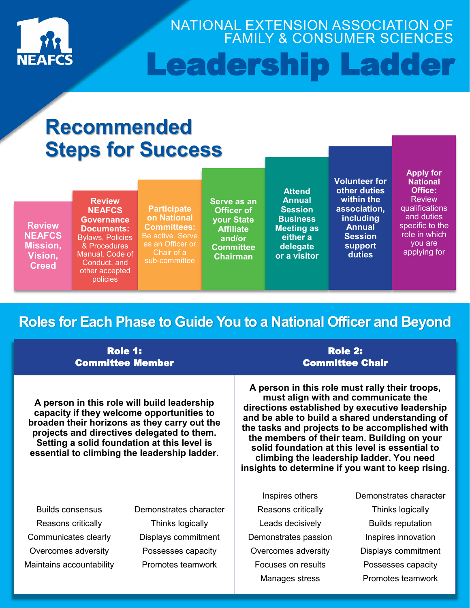

NATIONAL EXTENSION ASSOCIATION OF FAMILY & CONSUMER SCIENCES Leadership Ladder

# **Recommended Steps for Success**

| <b>Review</b><br><b>NEAFCS</b><br><b>Mission,</b><br>Vision,<br><b>Creed</b> | <b>Review</b><br><b>NEAFCS</b><br><b>Governance</b><br><b>Documents:</b><br><b>Bylaws, Policies</b><br>& Procedures<br>Manual, Code of<br>Conduct, and<br>other accepted | <b>Participate</b><br>on National<br><b>Committees:</b><br>Be active. Serve<br>as an Officer or<br>Chair of a<br>sub-committee | Serve as an<br><b>Officer of</b><br><b>your State</b><br><b>Affiliate</b><br>and/or<br><b>Committee</b><br><b>Chairman</b> | <b>Attend</b><br><b>Annual</b><br><b>Session</b><br><b>Business</b><br><b>Meeting as</b><br>either a<br>delegate<br>or a visitor | <b>Volunteer for</b><br>other duties<br>within the<br>association,<br><b>including</b><br><b>Annual</b><br><b>Session</b><br>support<br>duties | <b>Apply for</b><br><b>National</b><br>Office:<br><b>Review</b><br>qualifications<br>and duties<br>specific to the<br>role in which<br>you are<br>applying for |
|------------------------------------------------------------------------------|--------------------------------------------------------------------------------------------------------------------------------------------------------------------------|--------------------------------------------------------------------------------------------------------------------------------|----------------------------------------------------------------------------------------------------------------------------|----------------------------------------------------------------------------------------------------------------------------------|------------------------------------------------------------------------------------------------------------------------------------------------|----------------------------------------------------------------------------------------------------------------------------------------------------------------|
|                                                                              | policies                                                                                                                                                                 |                                                                                                                                |                                                                                                                            |                                                                                                                                  |                                                                                                                                                |                                                                                                                                                                |

# **Roles for Each Phase to Guide You to a National Officer and Beyond**

|                          | Role 1:<br><b>Committee Member</b>                                                                                                                                                                                                                                                    | <b>Role 2:</b><br><b>Committee Chair</b>                                                                                                                                                                                                                                                                                                                                                                                                      |                          |  |  |
|--------------------------|---------------------------------------------------------------------------------------------------------------------------------------------------------------------------------------------------------------------------------------------------------------------------------------|-----------------------------------------------------------------------------------------------------------------------------------------------------------------------------------------------------------------------------------------------------------------------------------------------------------------------------------------------------------------------------------------------------------------------------------------------|--------------------------|--|--|
|                          | A person in this role will build leadership<br>capacity if they welcome opportunities to<br>broaden their horizons as they carry out the<br>projects and directives delegated to them.<br>Setting a solid foundation at this level is<br>essential to climbing the leadership ladder. | A person in this role must rally their troops,<br>must align with and communicate the<br>directions established by executive leadership<br>and be able to build a shared understanding of<br>the tasks and projects to be accomplished with<br>the members of their team. Building on your<br>solid foundation at this level is essential to<br>climbing the leadership ladder. You need<br>insights to determine if you want to keep rising. |                          |  |  |
|                          |                                                                                                                                                                                                                                                                                       | Inspires others                                                                                                                                                                                                                                                                                                                                                                                                                               | Demonstrates character   |  |  |
| <b>Builds consensus</b>  | Demonstrates character                                                                                                                                                                                                                                                                | Reasons critically                                                                                                                                                                                                                                                                                                                                                                                                                            | Thinks logically         |  |  |
| Reasons critically       | Thinks logically                                                                                                                                                                                                                                                                      | Leads decisively                                                                                                                                                                                                                                                                                                                                                                                                                              | <b>Builds reputation</b> |  |  |
| Communicates clearly     | Displays commitment                                                                                                                                                                                                                                                                   | Demonstrates passion                                                                                                                                                                                                                                                                                                                                                                                                                          | Inspires innovation      |  |  |
| Overcomes adversity      | Possesses capacity                                                                                                                                                                                                                                                                    | Overcomes adversity                                                                                                                                                                                                                                                                                                                                                                                                                           | Displays commitment      |  |  |
| Maintains accountability | Promotes teamwork                                                                                                                                                                                                                                                                     | Focuses on results                                                                                                                                                                                                                                                                                                                                                                                                                            | Possesses capacity       |  |  |
|                          |                                                                                                                                                                                                                                                                                       | Manages stress                                                                                                                                                                                                                                                                                                                                                                                                                                | Promotes teamwork        |  |  |